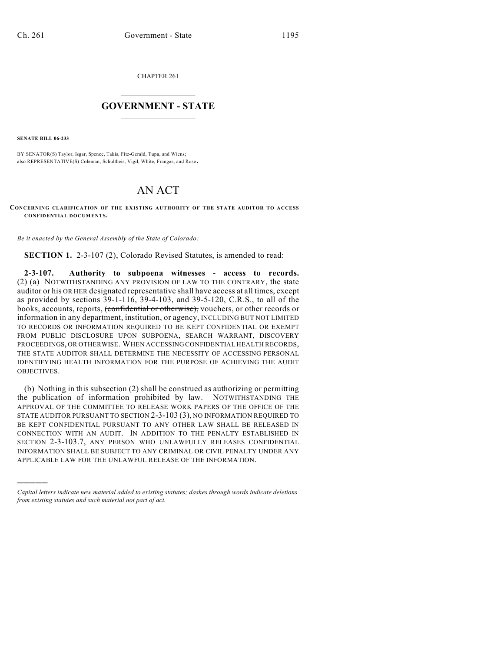CHAPTER 261

## $\mathcal{L}_\text{max}$  . The set of the set of the set of the set of the set of the set of the set of the set of the set of the set of the set of the set of the set of the set of the set of the set of the set of the set of the set **GOVERNMENT - STATE**  $\_$   $\_$

**SENATE BILL 06-233**

)))))

BY SENATOR(S) Taylor, Isgar, Spence, Takis, Fitz-Gerald, Tupa, and Wiens; also REPRESENTATIVE(S) Coleman, Schultheis, Vigil, White, Frangas, and Rose.

## AN ACT

**CONCERNING CLARIFICATION OF THE EXISTING AUTHORITY OF THE STATE AUDITOR TO ACCESS CONFIDENTIAL DOCUMENTS.**

*Be it enacted by the General Assembly of the State of Colorado:*

**SECTION 1.** 2-3-107 (2), Colorado Revised Statutes, is amended to read:

**2-3-107. Authority to subpoena witnesses - access to records.** (2) (a) NOTWITHSTANDING ANY PROVISION OF LAW TO THE CONTRARY, the state auditor or his OR HER designated representative shall have access at all times, except as provided by sections 39-1-116, 39-4-103, and 39-5-120, C.R.S., to all of the books, accounts, reports, (confidential or otherwise), vouchers, or other records or information in any department, institution, or agency, INCLUDING BUT NOT LIMITED TO RECORDS OR INFORMATION REQUIRED TO BE KEPT CONFIDENTIAL OR EXEMPT FROM PUBLIC DISCLOSURE UPON SUBPOENA, SEARCH WARRANT, DISCOVERY PROCEEDINGS, OR OTHERWISE. WHEN ACCESSING CONFIDENTIAL HEALTH RECORDS, THE STATE AUDITOR SHALL DETERMINE THE NECESSITY OF ACCESSING PERSONAL IDENTIFYING HEALTH INFORMATION FOR THE PURPOSE OF ACHIEVING THE AUDIT OBJECTIVES.

(b) Nothing in this subsection (2) shall be construed as authorizing or permitting the publication of information prohibited by law. NOTWITHSTANDING THE APPROVAL OF THE COMMITTEE TO RELEASE WORK PAPERS OF THE OFFICE OF THE STATE AUDITOR PURSUANT TO SECTION 2-3-103 (3), NO INFORMATION REQUIRED TO BE KEPT CONFIDENTIAL PURSUANT TO ANY OTHER LAW SHALL BE RELEASED IN CONNECTION WITH AN AUDIT. IN ADDITION TO THE PENALTY ESTABLISHED IN SECTION 2-3-103.7, ANY PERSON WHO UNLAWFULLY RELEASES CONFIDENTIAL INFORMATION SHALL BE SUBJECT TO ANY CRIMINAL OR CIVIL PENALTY UNDER ANY APPLICABLE LAW FOR THE UNLAWFUL RELEASE OF THE INFORMATION.

*Capital letters indicate new material added to existing statutes; dashes through words indicate deletions from existing statutes and such material not part of act.*